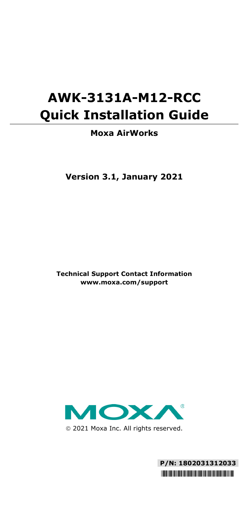# **AWK-3131A-M12-RCC Quick Installation Guide**

### **Moxa AirWorks**

**Version 3.1, January 2021**

**Technical Support Contact Information www.moxa.com/support**



2021 Moxa Inc. All rights reserved.

**P/N: 1802031312033** \*1802031312033\*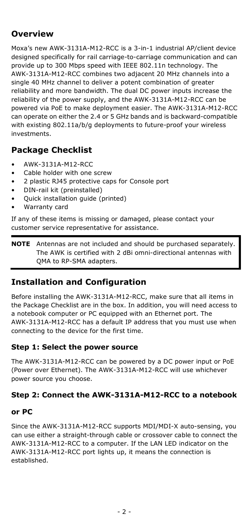## **Overview**

Moxa's new AWK-3131A-M12-RCC is a 3-in-1 industrial AP/client device designed specifically for rail carriage-to-carriage communication and can provide up to 300 Mbps speed with IEEE 802.11n technology. The AWK-3131A-M12-RCC combines two adjacent 20 MHz channels into a single 40 MHz channel to deliver a potent combination of greater reliability and more bandwidth. The dual DC power inputs increase the reliability of the power supply, and the AWK-3131A-M12-RCC can be powered via PoE to make deployment easier. The AWK-3131A-M12-RCC can operate on either the 2.4 or 5 GHz bands and is backward-compatible with existing 802.11a/b/g deployments to future-proof your wireless investments.

## **Package Checklist**

- AWK-3131A-M12-RCC
- Cable holder with one screw
- 2 plastic RJ45 protective caps for Console port
- DIN-rail kit (preinstalled)
- Quick installation guide (printed)
- Warranty card

If any of these items is missing or damaged, please contact your customer service representative for assistance.

**NOTE** Antennas are not included and should be purchased separately. The AWK is certified with 2 dBi omni-directional antennas with QMA to RP-SMA adapters.

## **Installation and Configuration**

Before installing the AWK-3131A-M12-RCC, make sure that all items in the Package Checklist are in the box. In addition, you will need access to a notebook computer or PC equipped with an Ethernet port. The AWK-3131A-M12-RCC has a default IP address that you must use when connecting to the device for the first time.

### **Step 1: Select the power source**

The AWK-3131A-M12-RCC can be powered by a DC power input or PoE (Power over Ethernet). The AWK-3131A-M12-RCC will use whichever power source you choose.

### **Step 2: Connect the AWK-3131A-M12-RCC to a notebook**

### **or PC**

Since the AWK-3131A-M12-RCC supports MDI/MDI-X auto-sensing, you can use either a straight-through cable or crossover cable to connect the AWK-3131A-M12-RCC to a computer. If the LAN LED indicator on the AWK-3131A-M12-RCC port lights up, it means the connection is established.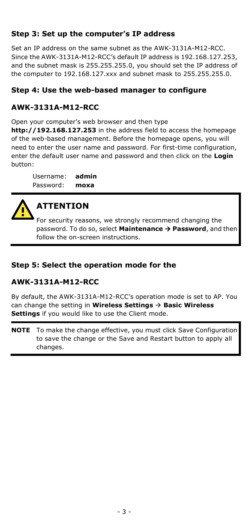### **Step 3: Set up the computer's IP address**

Set an IP address on the same subnet as the AWK-3131A-M12-RCC. Since the AWK-3131A-M12-RCC's default IP address is 192.168.127.253, and the subnet mask is 255.255.255.0, you should set the IP address of the computer to 192.168.127.xxx and subnet mask to 255.255.255.0.

### **Step 4: Use the web-based manager to configure**

### **AWK-3131A-M12-RCC**

Open your computer's web browser and then type

**http://192.168.127.253** in the address field to access the homepage of the web-based management. Before the homepage opens, you will need to enter the user name and password. For first-time configuration, enter the default user name and password and then click on the **Login**  button:

Username: **admin** Password: **moxa**



# **ATTENTION**

For security reasons, we strongly recommend changing the password. To do so, select Maintenance  $\rightarrow$  Password, and then follow the on-screen instructions.

### **Step 5: Select the operation mode for the**

### **AWK-3131A-M12-RCC**

By default, the AWK-3131A-M12-RCC's operation mode is set to AP. You can change the setting in **Wireless Settings Basic Wireless Settings** if you would like to use the Client mode.

**NOTE** To make the change effective, you must click Save Configuration to save the change or the Save and Restart button to apply all changes.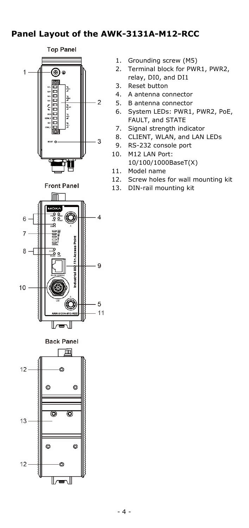### **Panel Layout of the AWK-3131A-M12-RCC**



- 1. Grounding screw (M5)
- 2. Terminal block for PWR1, PWR2, relay, DI0, and DI1
- 3. Reset button<br>4. A antenna co
- 4. A antenna connector
- 5. B antenna connector
- 6. System LEDs: PWR1, PWR2, PoE, FAULT, and STATE
- 7. Signal strength indicator
- 8. CLIENT, WLAN, and LAN LEDs<br>9. RS-232 console port
- 9. RS-232 console port<br>10. M12 LAN Port:
	- M12 LAN Port:
	- 10/100/1000BaseT(X)
- 11. Model name
- 12. Screw holes for wall mounting kit<br>13. DIN-rail mounting kit
- DIN-rail mounting kit





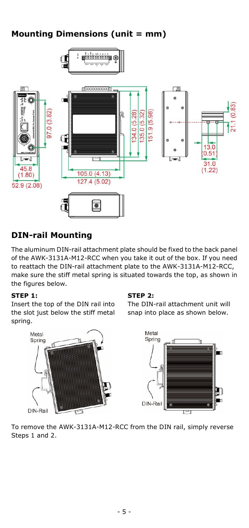# **Mounting Dimensions (unit = mm)**



## **DIN-rail Mounting**

The aluminum DIN-rail attachment plate should be fixed to the back panel of the AWK-3131A-M12-RCC when you take it out of the box. If you need to reattach the DIN-rail attachment plate to the AWK-3131A-M12-RCC, make sure the stiff metal spring is situated towards the top, as shown in the figures below.

### **STEP 1:**

Insert the top of the DIN rail into the slot just below the stiff metal spring.



#### **STEP 2:**

The DIN-rail attachment unit will snap into place as shown below.



To remove the AWK-3131A-M12-RCC from the DIN rail, simply reverse Steps 1 and 2.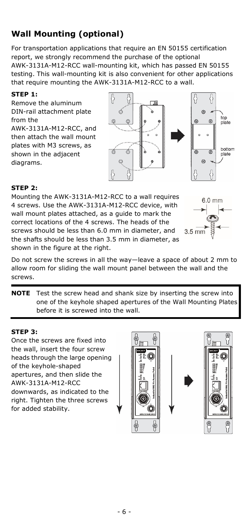### - 6 -

# **Wall Mounting (optional)**

For transportation applications that require an EN 50155 certification report, we strongly recommend the purchase of the optional AWK-3131A-M12-RCC wall-mounting kit, which has passed EN 50155 testing. This wall-mounting kit is also convenient for other applications that require mounting the AWK-3131A-M12-RCC to a wall.

### **STEP 1:**

**STEP 2:**

Remove the aluminum DIN-rail attachment plate from the

AWK-3131A-M12-RCC, and then attach the wall mount plates with M3 screws, as shown in the adjacent diagrams.



4 screws. Use the AWK-3131A-M12-RCC device, with wall mount plates attached, as a guide to mark the correct locations of the 4 screws. The heads of the screws should be less than 6.0 mm in diameter, and the shafts should be less than 3.5 mm in diameter, as shown in the figure at the right.



top

hottom

plate

G  $\circ$ 

Do not screw the screws in all the way—leave a space of about 2 mm to allow room for sliding the wall mount panel between the wall and the screws.

**NOTE** Test the screw head and shank size by inserting the screw into one of the keyhole shaped apertures of the Wall Mounting Plates before it is screwed into the wall.

### **STEP 3:**

Once the screws are fixed into the wall, insert the four screw heads through the large opening of the keyhole-shaped apertures, and then slide the AWK-3131A-M12-RCC downwards, as indicated to the right. Tighten the three screws for added stability.

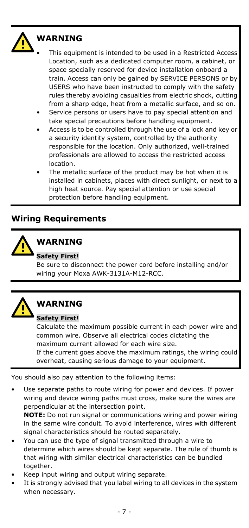

## **WARNING**

- This equipment is intended to be used in a Restricted Access Location, such as a dedicated computer room, a cabinet, or space specially reserved for device installation onboard a train. Access can only be gained by SERVICE PERSONS or by USERS who have been instructed to comply with the safety rules thereby avoiding casualties from electric shock, cutting from a sharp edge, heat from a metallic surface, and so on.
- Service persons or users have to pay special attention and take special precautions before handling equipment.
- Access is to be controlled through the use of a lock and key or a security identity system, controlled by the authority responsible for the location. Only authorized, well-trained professionals are allowed to access the restricted access location.
- The metallic surface of the product may be hot when it is installed in cabinets, places with direct sunlight, or next to a high heat source. Pay special attention or use special protection before handling equipment.

## **Wiring Requirements**



## **WARNING**

### **Safety First!**

Be sure to disconnect the power cord before installing and/or wiring your Moxa AWK-3131A-M12-RCC.



# **WARNING**

#### **Safety First!**

Calculate the maximum possible current in each power wire and common wire. Observe all electrical codes dictating the maximum current allowed for each wire size.

If the current goes above the maximum ratings, the wiring could overheat, causing serious damage to your equipment.

You should also pay attention to the following items:

Use separate paths to route wiring for power and devices. If power wiring and device wiring paths must cross, make sure the wires are perpendicular at the intersection point.

**NOTE:** Do not run signal or communications wiring and power wiring in the same wire conduit. To avoid interference, wires with different signal characteristics should be routed separately.

- You can use the type of signal transmitted through a wire to determine which wires should be kept separate. The rule of thumb is that wiring with similar electrical characteristics can be bundled together.
- Keep input wiring and output wiring separate.
- It is strongly advised that you label wiring to all devices in the system when necessary.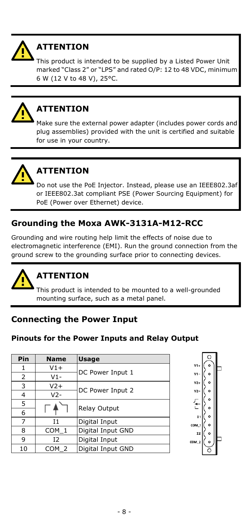

# **ATTENTION**

This product is intended to be supplied by a Listed Power Unit marked "Class 2" or "LPS" and rated O/P: 12 to 48 VDC, minimum 6 W (12 V to 48 V), 25°C.



# **ATTENTION**

Make sure the external power adapter (includes power cords and plug assemblies) provided with the unit is certified and suitable for use in your country.



# **ATTENTION**

Do not use the PoE Injector. Instead, please use an IEEE802.3af or IEEE802.3at compliant PSE (Power Sourcing Equipment) for PoE (Power over Ethernet) device.

## **Grounding the Moxa AWK-3131A-M12-RCC**

Grounding and wire routing help limit the effects of noise due to electromagnetic interference (EMI). Run the ground connection from the ground screw to the grounding surface prior to connecting devices.



# **ATTENTION**

This product is intended to be mounted to a well-grounded mounting surface, such as a metal panel.

## **Connecting the Power Input**

### **Pinouts for the Power Inputs and Relay Output**

| Pin | <b>Name</b>      | <b>Usage</b>        |
|-----|------------------|---------------------|
| ı   | $V1+$            |                     |
| 2   | $V1 -$           | DC Power Input 1    |
| 3   | $V2+$            | DC Power Input 2    |
| 4   | V2-              |                     |
| 5   |                  |                     |
| 6   |                  | <b>Relay Output</b> |
| 7   | 11               | Digital Input       |
| 8   | COM <sub>1</sub> | Digital Input GND   |
| 9   | 12               | Digital Input       |
| 10  | COM <sub>2</sub> | Digital Input GND   |

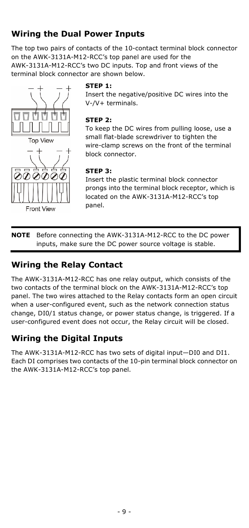## **Wiring the Dual Power Inputs**

The top two pairs of contacts of the 10-contact terminal block connector on the AWK-3131A-M12-RCC's top panel are used for the AWK-3131A-M12-RCC's two DC inputs. Top and front views of the terminal block connector are shown below.





### **STEP 1:**

Insert the negative/positive DC wires into the V-/V+ terminals.

### **STEP 2:**

To keep the DC wires from pulling loose, use a small flat-blade screwdriver to tighten the wire-clamp screws on the front of the terminal block connector.

### **STEP 3:**

Insert the plastic terminal block connector prongs into the terminal block receptor, which is located on the AWK-3131A-M12-RCC's top panel.

**NOTE** Before connecting the AWK-3131A-M12-RCC to the DC power inputs, make sure the DC power source voltage is stable.

## **Wiring the Relay Contact**

The AWK-3131A-M12-RCC has one relay output, which consists of the two contacts of the terminal block on the AWK-3131A-M12-RCC's top panel. The two wires attached to the Relay contacts form an open circuit when a user-configured event, such as the network connection status change, DI0/1 status change, or power status change, is triggered. If a user-configured event does not occur, the Relay circuit will be closed.

## **Wiring the Digital Inputs**

The AWK-3131A-M12-RCC has two sets of digital input—DI0 and DI1. Each DI comprises two contacts of the 10-pin terminal block connector on the AWK-3131A-M12-RCC's top panel.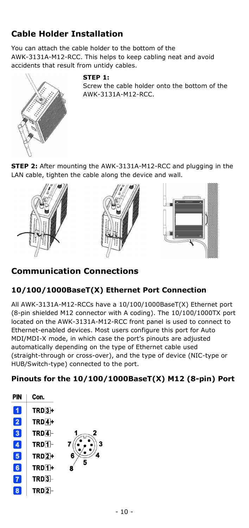# **Cable Holder Installation**

You can attach the cable holder to the bottom of the AWK-3131A-M12-RCC. This helps to keep cabling neat and avoid accidents that result from untidy cables.

#### **STEP 1:**

Screw the cable holder onto the bottom of the AWK-3131A-M12-RCC.



LAN cable, tighten the cable along the device and wall.



## **Communication Connections**

### **10/100/1000BaseT(X) Ethernet Port Connection**

All AWK-3131A-M12-RCCs have a 10/100/1000BaseT(X) Ethernet port (8-pin shielded M12 connector with A coding). The 10/100/1000TX port located on the AWK-3131A-M12-RCC front panel is used to connect to Ethernet-enabled devices. Most users configure this port for Auto MDI/MDI-X mode, in which case the port's pinouts are adjusted automatically depending on the type of Ethernet cable used (straight-through or cross-over), and the type of device (NIC-type or HUB/Switch-type) connected to the port.

## **Pinouts for the 10/100/1000BaseT(X) M12 (8-pin) Port**

| PIN                     | Con.               |             |
|-------------------------|--------------------|-------------|
| 1                       | $TRD3+$            |             |
| $\overline{\mathbf{2}}$ | $TRD4+$            |             |
| $\overline{\mathbf{3}}$ | TRD4               | 2           |
| 4                       | TRD <sub>1</sub> - | 3           |
| 5                       | $TRD$ <sup>+</sup> | 6<br>4<br>5 |
| $6\phantom{a}$          | TRD <sub>1+</sub>  | 8           |
| $\overline{7}$          | $TRD3$ -           |             |
|                         | TRD <sub>2</sub>   |             |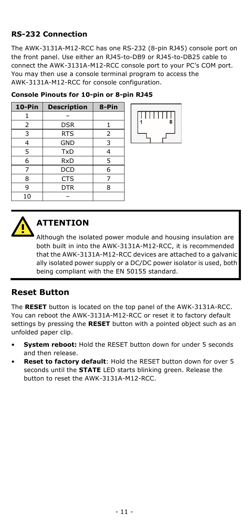## **RS-232 Connection**

The AWK-3131A-M12-RCC has one RS-232 (8-pin RJ45) console port on the front panel. Use either an RJ45-to-DB9 or RJ45-to-DB25 cable to connect the AWK-3131A-M12-RCC console port to your PC's COM port. You may then use a console terminal program to access the AWK-3131A-M12-RCC for console configuration.

| 10-Pin | <b>Description</b> | 8-Pin |
|--------|--------------------|-------|
|        |                    |       |
| 2      | <b>DSR</b>         |       |
| 3      | <b>RTS</b>         | 2     |
| 4      | <b>GND</b>         | 3     |
| 5      | <b>TxD</b>         | 4     |
| 6      | <b>RxD</b>         | 5     |
| 7      | <b>DCD</b>         | 6     |
| 8      | <b>CTS</b>         | 7     |
| 9      | <b>DTR</b>         | 8     |
| 10     |                    |       |







# **ATTENTION**

Although the isolated power module and housing insulation are both built in into the AWK-3131A-M12-RCC, it is recommended that the AWK-3131A-M12-RCC devices are attached to a galvanic ally isolated power supply or a DC/DC power isolator is used, both being compliant with the EN 50155 standard.

## **Reset Button**

The **RESET** button is located on the top panel of the AWK-3131A-RCC. You can reboot the AWK-3131A-M12-RCC or reset it to factory default settings by pressing the **RESET** button with a pointed object such as an unfolded paper clip.

- **System reboot:** Hold the RESET button down for under 5 seconds and then release.
- **Reset to factory default**: Hold the RESET button down for over 5 seconds until the **STATE** LED starts blinking green. Release the button to reset the AWK-3131A-M12-RCC.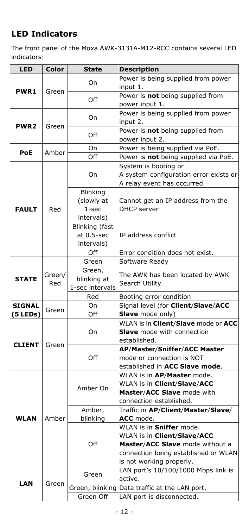# **LED Indicators**

The front panel of the Moxa AWK-3131A-M12-RCC contains several LED indicators:

| <b>LED</b>       | Color         | <b>State</b>    | <b>Description</b>                                                                           |
|------------------|---------------|-----------------|----------------------------------------------------------------------------------------------|
| PWR1             | Green         | On              | Power is being supplied from power<br>input 1.                                               |
|                  |               | Off             | Power is not being supplied from<br>power input 1.                                           |
|                  |               | On              | Power is being supplied from power<br>input 2.                                               |
| PWR <sub>2</sub> | Green         | Off             | Power is not being supplied from<br>power input 2.                                           |
|                  |               | On              | Power is being supplied via PoE.                                                             |
| PoE              | Amber         | Off             | Power is not being supplied via PoE.                                                         |
|                  |               | On              | System is booting or<br>A system configuration error exists or<br>A relay event has occurred |
|                  |               | <b>Blinking</b> |                                                                                              |
|                  |               | (slowly at      | Cannot get an IP address from the                                                            |
| <b>FAULT</b>     | Red           | $1 - sec$       | <b>DHCP</b> server                                                                           |
|                  |               | intervals)      |                                                                                              |
|                  |               | Blinking (fast  |                                                                                              |
|                  |               | at 0.5-sec      | IP address conflict                                                                          |
|                  |               | intervals)      |                                                                                              |
|                  |               | Off             | Error condition does not exist.                                                              |
|                  |               | Green           | Software Ready                                                                               |
|                  |               | Green,          |                                                                                              |
| <b>STATE</b>     | Green/<br>Red | blinking at     | The AWK has been located by AWK                                                              |
|                  |               | 1-sec intervals | Search Utility                                                                               |
|                  |               | Red             | Booting error condition                                                                      |
| <b>SIGNAL</b>    | Green         | On              | Signal level (for Client/Slave/ACC                                                           |
| (5LEDs)          |               | Off             | Slave mode only)                                                                             |
|                  |               |                 | WLAN is in Client/Slave mode or ACC                                                          |
|                  |               | On              | <b>Slave</b> mode with connection                                                            |
| <b>CLIENT</b>    | Green         |                 | established.                                                                                 |
|                  |               | Off             | <b>AP/Master/Sniffer/ACC Master</b>                                                          |
|                  |               |                 | mode or connection is NOT                                                                    |
|                  |               |                 | established in ACC Slave mode.                                                               |
|                  |               | Amber On        | WLAN is in AP/Master mode.                                                                   |
|                  |               |                 | WLAN is in Client/Slave/ACC                                                                  |
|                  |               |                 | Master/ACC Slave mode with                                                                   |
|                  |               |                 | connection established.                                                                      |
|                  |               | Amber,          | Traffic in AP/Client/Master/Slave/                                                           |
| <b>WLAN</b>      | Amber         | blinking        | ACC mode.                                                                                    |
|                  |               | Off             | WLAN is in Sniffer mode.                                                                     |
|                  |               |                 | WLAN is in Client/Slave/ACC                                                                  |
|                  |               |                 | Master/ACC Slave mode without a                                                              |
|                  |               |                 | connection being established or WLAN                                                         |
|                  |               |                 | is not working properly.                                                                     |
|                  |               | Green           | LAN port's 10/100/1000 Mbps link is                                                          |
| LAN              | Green         |                 | active.                                                                                      |
|                  |               | Green, blinking | Data traffic at the LAN port.                                                                |
|                  |               | Green Off       | LAN port is disconnected.                                                                    |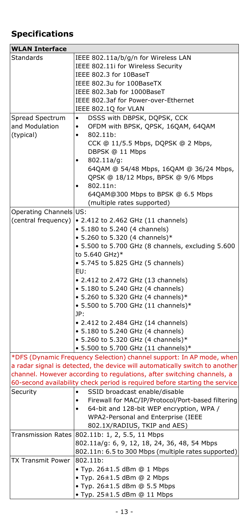# **Specifications**

| <b>WLAN Interface</b>    |                                                                             |  |
|--------------------------|-----------------------------------------------------------------------------|--|
| <b>Standards</b>         | IEEE 802.11a/b/g/n for Wireless LAN                                         |  |
|                          | IEEE 802.11i for Wireless Security                                          |  |
|                          | IEEE 802.3 for 10BaseT                                                      |  |
|                          | IEEE 802.3u for 100BaseTX                                                   |  |
|                          | IEEE 802.3ab for 1000BaseT                                                  |  |
|                          | IEEE 802.3af for Power-over-Ethernet                                        |  |
|                          | IEEE 802.1Q for VLAN                                                        |  |
| Spread Spectrum          | DSSS with DBPSK, DQPSK, CCK<br>٠                                            |  |
| and Modulation           | OFDM with BPSK, QPSK, 16QAM, 64QAM<br>$\bullet$                             |  |
| (typical)                | 802.11b:<br>$\bullet$                                                       |  |
|                          | CCK @ 11/5.5 Mbps, DQPSK @ 2 Mbps,<br>DBPSK @ 11 Mbps                       |  |
|                          | 802.11a/g:                                                                  |  |
|                          | 64QAM @ 54/48 Mbps, 16QAM @ 36/24 Mbps,                                     |  |
|                          | QPSK @ 18/12 Mbps, BPSK @ 9/6 Mbps                                          |  |
|                          | 802.11n:                                                                    |  |
|                          | 64QAM@300 Mbps to BPSK @ 6.5 Mbps                                           |  |
|                          | (multiple rates supported)                                                  |  |
| Operating Channels US:   |                                                                             |  |
| (central frequency)      | • 2.412 to 2.462 GHz (11 channels)                                          |  |
|                          | • 5.180 to 5.240 (4 channels)                                               |  |
|                          | • 5.260 to 5.320 (4 channels)*                                              |  |
|                          | • 5.500 to 5.700 GHz (8 channels, excluding 5.600                           |  |
|                          | to 5.640 GHz)*                                                              |  |
|                          | • 5.745 to 5.825 GHz (5 channels)<br>EU:                                    |  |
|                          | • 2.412 to 2.472 GHz (13 channels)                                          |  |
|                          | • 5.180 to 5.240 GHz (4 channels)                                           |  |
|                          | • 5.260 to 5.320 GHz (4 channels)*                                          |  |
|                          | • 5.500 to 5.700 GHz (11 channels)*                                         |  |
|                          | JP:                                                                         |  |
|                          | • 2.412 to 2.484 GHz (14 channels)                                          |  |
|                          | • 5.180 to 5.240 GHz (4 channels)                                           |  |
|                          | • 5.260 to 5.320 GHz (4 channels)*                                          |  |
|                          | • 5.500 to 5.700 GHz (11 channels)*                                         |  |
|                          | *DFS (Dynamic Frequency Selection) channel support: In AP mode, when        |  |
|                          | a radar signal is detected, the device will automatically switch to another |  |
|                          | channel. However according to regulations, after switching channels, a      |  |
|                          | 60-second availability check period is required before starting the service |  |
| Security                 | SSID broadcast enable/disable<br>$\bullet$                                  |  |
|                          | Firewall for MAC/IP/Protocol/Port-based filtering<br>٠                      |  |
|                          | 64-bit and 128-bit WEP encryption, WPA /                                    |  |
|                          | WPA2-Personal and Enterprise (IEEE                                          |  |
|                          | 802.1X/RADIUS, TKIP and AES)                                                |  |
|                          | Transmission Rates 802.11b: 1, 2, 5.5, 11 Mbps                              |  |
|                          | 802.11a/g: 6, 9, 12, 18, 24, 36, 48, 54 Mbps                                |  |
| <b>TX Transmit Power</b> | 802.11n: 6.5 to 300 Mbps (multiple rates supported)<br>802.11b:             |  |
|                          | • Typ. 26±1.5 dBm @ 1 Mbps                                                  |  |
|                          | • Typ. 26±1.5 dBm @ 2 Mbps                                                  |  |
|                          | • Typ. 26±1.5 dBm @ 5.5 Mbps                                                |  |
|                          | • Typ. 25±1.5 dBm @ 11 Mbps                                                 |  |
|                          |                                                                             |  |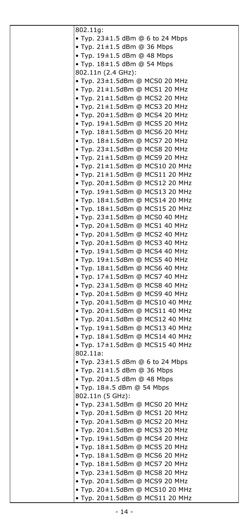| 802.11g:                          |
|-----------------------------------|
| • Typ. 23±1.5 dBm @ 6 to 24 Mbps  |
| • Typ. $21 \pm 1.5$ dBm @ 36 Mbps |
|                                   |
| • Typ. 19±1.5 dBm @ 48 Mbps       |
| • Typ. 18±1.5 dBm @ 54 Mbps       |
| 802.11n (2.4 GHz):                |
| • Typ. 23±1.5dBm @ MCS0 20 MHz    |
| • Typ. 21±1.5dBm @ MCS1 20 MHz    |
| • Typ. 21±1.5dBm @ MCS2 20 MHz    |
| • Typ. 21±1.5dBm @ MCS3 20 MHz    |
|                                   |
| • Typ. 20±1.5dBm @ MCS4 20 MHz    |
| • Typ. 19±1.5dBm @ MCS5 20 MHz    |
| • Typ. 18±1.5dBm @ MCS6 20 MHz    |
| • Typ. 18±1.5dBm @ MCS7 20 MHz    |
| • Typ. 23±1.5dBm @ MCS8 20 MHz    |
| • Typ. 21±1.5dBm @ MCS9 20 MHz    |
| • Typ. 21±1.5dBm @ MCS10 20 MHz   |
| • Typ. 21±1.5dBm @ MCS11 20 MHz   |
|                                   |
| • Typ. 20±1.5dBm @ MCS12 20 MHz   |
| • Typ. 19±1.5dBm @ MCS13 20 MHz   |
| • Typ. 18±1.5dBm @ MCS14 20 MHz   |
| • Typ. 18±1.5dBm @ MCS15 20 MHz   |
| • Typ. 23±1.5dBm @ MCS0 40 MHz    |
| • Typ. 20±1.5dBm @ MCS1 40 MHz    |
| • Typ. 20±1.5dBm @ MCS2 40 MHz    |
| • Typ. 20±1.5dBm @ MCS3 40 MHz    |
| • Typ. 19±1.5dBm @ MCS4 40 MHz    |
| • Typ. 19±1.5dBm @ MCS5 40 MHz    |
|                                   |
| • Typ. 18±1.5dBm @ MCS6 40 MHz    |
| • Typ. 17±1.5dBm @ MCS7 40 MHz    |
| • Typ. 23±1.5dBm @ MCS8 40 MHz    |
| • Typ. 20±1.5dBm @ MCS9 40 MHz    |
| • Typ. 20±1.5dBm @ MCS10 40 MHz   |
| • Typ. 20±1.5dBm @ MCS11 40 MHz   |
| • Typ. 20±1.5dBm @ MCS12 40 MHz   |
| • Typ. 19±1.5dBm @ MCS13 40 MHz   |
| • Typ. 18±1.5dBm @ MCS14 40 MHz   |
| • Typ. 17±1.5dBm @ MCS15 40 MHz   |
| 802.11a:                          |
| • Typ. 23±1.5 dBm @ 6 to 24 Mbps  |
|                                   |
| • Typ. 21±1.5 dBm @ 36 Mbps       |
| • Typ. 20±1.5 dBm @ 48 Mbps       |
| • Typ. 18±.5 dBm @ 54 Mbps        |
| 802.11n (5 GHz):                  |
| • Typ. 23±1.5dBm @ MCS0 20 MHz    |
| • Typ. 20±1.5dBm @ MCS1 20 MHz    |
| Typ. 20±1.5dBm @ MCS2 20 MHz      |
| • Typ. 20±1.5dBm @ MCS3 20 MHz    |
| • Typ. 19±1.5dBm @ MCS4 20 MHz    |
| • Typ. 18±1.5dBm @ MCS5 20 MHz    |
| • Typ. 18±1.5dBm @ MCS6 20 MHz    |
|                                   |
| • Typ. 18±1.5dBm @ MCS7 20 MHz    |
| • Typ. 23±1.5dBm @ MCS8 20 MHz    |
| • Typ. 20±1.5dBm @ MCS9 20 MHz    |
| · Typ. 20±1.5dBm @ MCS10 20 MHz   |
| • Typ. 20±1.5dBm @ MCS11 20 MHz   |
|                                   |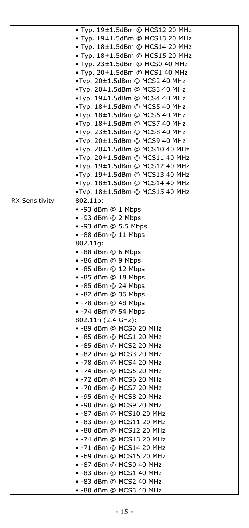|                       | • Typ. 19±1.5dBm @ MCS12 20 MHz |
|-----------------------|---------------------------------|
|                       | • Typ. 19±1.5dBm @ MCS13 20 MHz |
|                       | • Typ. 18±1.5dBm @ MCS14 20 MHz |
|                       | • Typ. 18±1.5dBm @ MCS15 20 MHz |
|                       | • Typ. 23±1.5dBm @ MCS0 40 MHz  |
|                       |                                 |
|                       | • Typ. 20±1.5dBm @ MCS1 40 MHz  |
|                       | •Typ. 20±1.5dBm @ MCS2 40 MHz   |
|                       | •Typ. 20±1.5dBm @ MCS3 40 MHz   |
|                       | •Typ. 19±1.5dBm @ MCS4 40 MHz   |
|                       | •Typ. 18±1.5dBm @ MCS5 40 MHz   |
|                       | •Typ. 18±1.5dBm @ MCS6 40 MHz   |
|                       | •Typ. 18±1.5dBm @ MCS7 40 MHz   |
|                       | •Typ. 23±1.5dBm @ MCS8 40 MHz   |
|                       | •Typ. 20±1.5dBm @ MCS9 40 MHz   |
|                       | •Typ. 20±1.5dBm @ MCS10 40 MHz  |
|                       | •Typ. 20±1.5dBm @ MCS11 40 MHz  |
|                       | •Typ. 19±1.5dBm @ MCS12 40 MHz  |
|                       | •Typ. 19±1.5dBm @ MCS13 40 MHz  |
|                       | •Typ. 18±1.5dBm @ MCS14 40 MHz  |
|                       | •Typ. 18±1.5dBm @ MCS15 40 MHz  |
| <b>RX Sensitivity</b> | 802.11b:                        |
|                       | $\bullet$ -93 dBm @ 1 Mbps      |
|                       | • -93 dBm @ 2 Mbps              |
|                       | • -93 dBm @ 5.5 Mbps            |
|                       | • -88 dBm @ 11 Mbps             |
|                       | 802.11g:                        |
|                       | $\bullet$ -88 dBm @ 6 Mbps      |
|                       | • -86 dBm @ 9 Mbps              |
|                       | • -85 dBm @ 12 Mbps             |
|                       | • -85 dBm @ 18 Mbps             |
|                       | • -85 dBm @ 24 Mbps             |
|                       | • -82 dBm @ 36 Mbps             |
|                       | • -78 dBm @ 48 Mbps             |
|                       | • -74 dBm @ 54 Mbps             |
|                       | 802.11n (2.4 GHz):              |
|                       | • -89 dBm @ MCS0 20 MHz         |
|                       | • -85 dBm @ MCS1 20 MHz         |
|                       | • -85 dBm @ MCS2 20 MHz         |
|                       | • -82 dBm @ MCS3 20 MHz         |
|                       | • -78 dBm @ MCS4 20 MHz         |
|                       | • -74 dBm @ MCS5 20 MHz         |
|                       | • -72 dBm @ MCS6 20 MHz         |
|                       | • -70 dBm @ MCS7 20 MHz         |
|                       | • -95 dBm @ MCS8 20 MHz         |
|                       | • -90 dBm @ MCS9 20 MHz         |
|                       | • -87 dBm @ MCS10 20 MHz        |
|                       | -83 dBm @ MCS11 20 MHz          |
|                       | • -80 dBm @ MCS12 20 MHz        |
|                       | • -74 dBm @ MCS13 20 MHz        |
|                       | •-71 dBm @ MCS14 20 MHz         |
|                       | • -69 dBm @ MCS15 20 MHz        |
|                       | • -87 dBm @ MCS0 40 MHz         |
|                       | • -83 dBm @ MCS1 40 MHz         |
|                       | • -83 dBm @ MCS2 40 MHz         |
|                       | • -80 dBm @ MCS3 40 MHz         |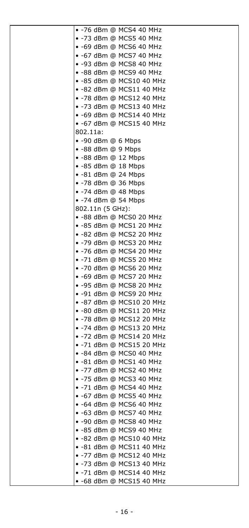| • -76 dBm @ MCS4 40 MHz     |
|-----------------------------|
| • -73 dBm @ MCS5 40 MHz     |
| • -69 dBm @ MCS6 40 MHz     |
| • -67 dBm @ MCS7 40 MHz     |
| • -93 dBm @ MCS8 40 MHz     |
| • -88 dBm @ MCS9 40 MHz     |
| • -85 dBm @ MCS10 40 MHz    |
| • -82 dBm @ MCS11 40 MHz    |
| • -78 dBm @ MCS12 40 MHz    |
| • -73 dBm @ MCS13 40 MHz    |
| • -69 dBm @ MCS14 40 MHz    |
| • -67 dBm @ MCS15 40 MHz    |
| 802.11a:                    |
| • -90 dBm @ 6 Mbps          |
| • -88 dBm @ 9 Mbps          |
| $\bullet$ -88 dBm @ 12 Mbps |
| • -85 dBm @ 18 Mbps         |
| • -81 dBm @ 24 Mbps         |
| • -78 dBm @ 36 Mbps         |
| • -74 dBm @ 48 Mbps         |
| • -74 dBm @ 54 Mbps         |
| 802.11n (5 GHz):            |
| • -88 dBm @ MCS0 20 MHz     |
| • -85 dBm @ MCS1 20 MHz     |
| • -82 dBm @ MCS2 20 MHz     |
| • -79 dBm @ MCS3 20 MHz     |
| • -76 dBm @ MCS4 20 MHz     |
| •-71 dBm @ MCS5 20 MHz      |
| • -70 dBm @ MCS6 20 MHz     |
| • -69 dBm @ MCS7 20 MHz     |
| • -95 dBm @ MCS8 20 MHz     |
| • -91 dBm @ MCS9 20 MHz     |
| • -87 dBm @ MCS10 20 MHz    |
| • -80 dBm @ MCS11 20 MHz    |
| • -78 dBm @ MCS12 20 MHz    |
| •-74 dBm @ MCS13 20 MHz     |
| • -72 dBm @ MCS14 20 MHz    |
| •-71 dBm @ MCS15 20 MHz     |
| • -84 dBm @ MCS0 40 MHz     |
| • -81 dBm @ MCS1 40 MHz     |
| • -77 dBm @ MCS2 40 MHz     |
| •-75 dBm @ MCS3 40 MHz      |
| • -71 dBm @ MCS4 40 MHz     |
| • -67 dBm @ MCS5 40 MHz     |
| • -64 dBm @ MCS6 40 MHz     |
| • -63 dBm @ MCS7 40 MHz     |
| • -90 dBm @ MCS8 40 MHz     |
| • -85 dBm @ MCS9 40 MHz     |
| • -82 dBm @ MCS10 40 MHz    |
| • -81 dBm @ MCS11 40 MHz    |
| • -77 dBm @ MCS12 40 MHz    |
| •-73 dBm @ MCS13 40 MHz     |
| • -71 dBm @ MCS14 40 MHz    |
| • -68 dBm @ MCS15 40 MHz    |
|                             |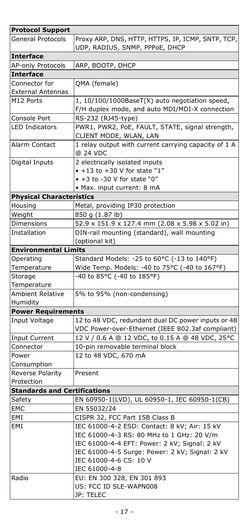| <b>Protocol Support</b>             |                                                                           |  |  |
|-------------------------------------|---------------------------------------------------------------------------|--|--|
| <b>General Protocols</b>            | Proxy ARP, DNS, HTTP, HTTPS, IP, ICMP, SNTP, TCP,                         |  |  |
|                                     | UDP, RADIUS, SNMP, PPPoE, DHCP                                            |  |  |
| <b>Interface</b>                    |                                                                           |  |  |
| AP-only Protocols                   | ARP, BOOTP, DHCP                                                          |  |  |
| <b>Interface</b>                    |                                                                           |  |  |
| Connector for                       | QMA (female)                                                              |  |  |
| <b>External Antennas</b>            |                                                                           |  |  |
| M12 Ports                           | 1, 10/100/1000BaseT(X) auto negotiation speed,                            |  |  |
|                                     | F/H duplex mode, and auto MDI/MDI-X connection                            |  |  |
| Console Port                        | RS-232 (RJ45-type)                                                        |  |  |
| <b>LED Indicators</b>               | PWR1, PWR2, PoE, FAULT, STATE, signal strength,<br>CLIENT MODE, WLAN, LAN |  |  |
| Alarm Contact                       | 1 relay output with current carrying capacity of 1 A                      |  |  |
|                                     | @ 24 VDC                                                                  |  |  |
| Digital Inputs                      | 2 electrically isolated inputs                                            |  |  |
|                                     | $\bullet$ +13 to +30 V for state "1"                                      |  |  |
|                                     | $\bullet$ +3 to -30 V for state "0"                                       |  |  |
|                                     | • Max. input current: 8 mA                                                |  |  |
| <b>Physical Characteristics</b>     |                                                                           |  |  |
| Housing                             | Metal, providing IP30 protection                                          |  |  |
| Weight                              | 850 g (1.87 lb)                                                           |  |  |
| Dimensions                          | 52.9 x 151.9 x 127.4 mm (2.08 x 5.98 x 5.02 in)                           |  |  |
| Installation                        | DIN-rail mounting (standard), wall mounting<br>(optional kit)             |  |  |
| <b>Environmental Limits</b>         |                                                                           |  |  |
| Operating                           | Standard Models: -25 to 60°C (-13 to 140°F)                               |  |  |
| Temperature                         | Wide Temp. Models: -40 to 75°C (-40 to 167°F)                             |  |  |
| Storage                             | -40 to 85°C (-40 to 185°F)                                                |  |  |
| Temperature                         |                                                                           |  |  |
| <b>Ambient Relative</b>             | 5% to 95% (non-condensing)                                                |  |  |
| Humidity                            |                                                                           |  |  |
| <b>Power Requirements</b>           |                                                                           |  |  |
| Input Voltage                       | 12 to 48 VDC, redundant dual DC power inputs or 48                        |  |  |
|                                     | VDC Power-over-Ethernet (IEEE 802.3af compliant)                          |  |  |
| <b>Input Current</b>                | 12 V / 0.6 A @ 12 VDC, to 0.15 A @ 48 VDC, 25°C                           |  |  |
| Connector                           | 10-pin removable terminal block                                           |  |  |
| Power                               | 12 to 48 VDC, 670 mA                                                      |  |  |
| Consumption                         |                                                                           |  |  |
| Reverse Polarity                    | Present                                                                   |  |  |
| Protection                          |                                                                           |  |  |
| <b>Standards and Certifications</b> |                                                                           |  |  |
| Safety                              | EN 60950-1(LVD), UL 60950-1, IEC 60950-1(CB)                              |  |  |
| EMC                                 | EN 55032/24                                                               |  |  |
| EMI                                 | CISPR 32, FCC Part 15B Class B                                            |  |  |
| EMI                                 | IEC 61000-4-2 ESD: Contact: 8 kV; Air: 15 kV                              |  |  |
|                                     | IEC 61000-4-3 RS: 80 MHz to 1 GHz: 20 V/m                                 |  |  |
|                                     | IEC 61000-4-4 EFT: Power: 2 kV; Signal: 2 kV                              |  |  |
|                                     | IEC 61000-4-5 Surge: Power: 2 kV; Signal: 2 kV                            |  |  |
|                                     | IEC 61000-4-6 CS: 10 V                                                    |  |  |
|                                     | IEC 61000-4-8                                                             |  |  |
| Radio                               | EU: EN 300 328, EN 301 893                                                |  |  |
|                                     | US: FCC ID SLE-WAPN008<br>JP: TELEC                                       |  |  |
|                                     |                                                                           |  |  |